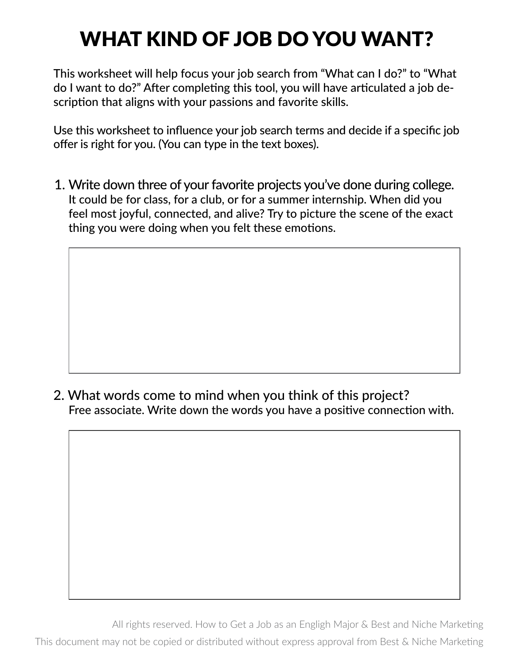## WHAT KIND OF JOB DO YOU WANT?

This worksheet will help focus your job search from "What can I do?" to "What do I want to do?" After completing this tool, you will have articulated a job description that aligns with your passions and favorite skills.

Use this worksheet to influence your job search terms and decide if a specific job offer is right for you. (You can type in the text boxes).

1. Write down three of your favorite projects you've done during college. It could be for class, for a club, or for a summer internship. When did you feel most joyful, connected, and alive? Try to picture the scene of the exact thing you were doing when you felt these emotions.

2. What words come to mind when you think of this project? Free associate. Write down the words you have a positive connection with.

All rights reserved. How to Get a Job as an Engligh Major & Best and Niche Marketing This document may not be copied or distributed without express approval from Best & Niche Marketing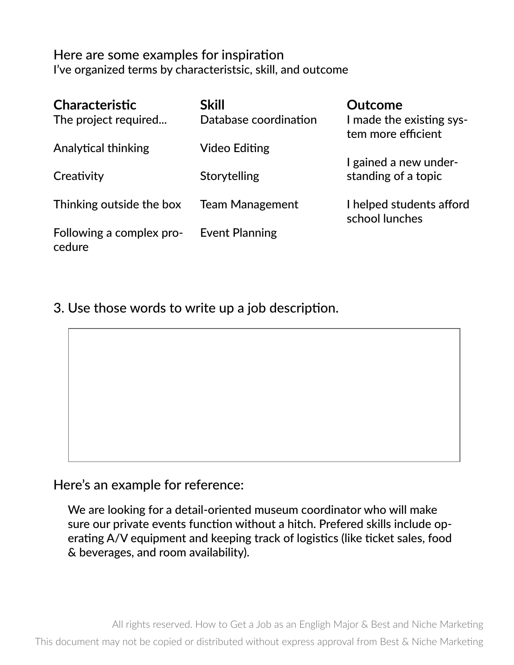## Here are some examples for inspiration I've organized terms by characteristsic, skill, and outcome

| <b>Characteristic</b><br>The project required | <b>Skill</b><br>Database coordination | Outcome<br>I made the existing sys-<br>tem more efficient |
|-----------------------------------------------|---------------------------------------|-----------------------------------------------------------|
| <b>Analytical thinking</b>                    | Video Editing                         |                                                           |
|                                               |                                       | I gained a new under-                                     |
| Creativity                                    | Storytelling                          | standing of a topic                                       |
| Thinking outside the box                      | <b>Team Management</b>                | I helped students afford<br>school lunches                |
| Following a complex pro-<br>cedure            | <b>Event Planning</b>                 |                                                           |

3. Use those words to write up a job description.

Here's an example for reference:

We are looking for a detail-oriented museum coordinator who will make sure our private events function without a hitch. Prefered skills include operating A/V equipment and keeping track of logistics (like ticket sales, food & beverages, and room availability).